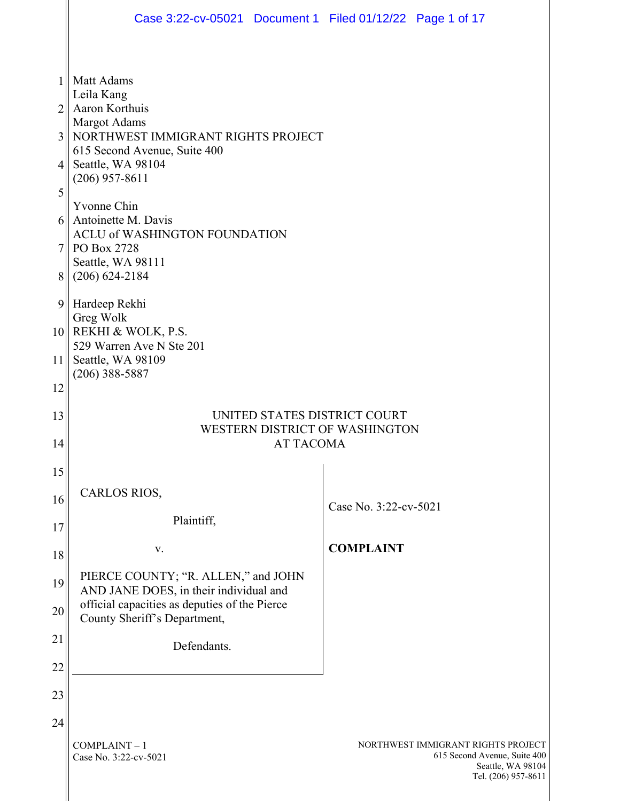|    | Case 3:22-cv-05021 Document 1 Filed 01/12/22 Page 1 of 17                               |                                                                                                                |
|----|-----------------------------------------------------------------------------------------|----------------------------------------------------------------------------------------------------------------|
|    |                                                                                         |                                                                                                                |
| 1  | Matt Adams                                                                              |                                                                                                                |
| 2  | Leila Kang<br>Aaron Korthuis                                                            |                                                                                                                |
| 3  | <b>Margot Adams</b><br>NORTHWEST IMMIGRANT RIGHTS PROJECT                               |                                                                                                                |
| 4  | 615 Second Avenue, Suite 400<br>Seattle, WA 98104<br>$(206)$ 957-8611                   |                                                                                                                |
| 5  | Yvonne Chin                                                                             |                                                                                                                |
| 6  | Antoinette M. Davis<br>ACLU of WASHINGTON FOUNDATION                                    |                                                                                                                |
| 7  | PO Box 2728<br>Seattle, WA 98111                                                        |                                                                                                                |
| 8  | $(206) 624 - 2184$                                                                      |                                                                                                                |
| 9  | Hardeep Rekhi<br>Greg Wolk                                                              |                                                                                                                |
|    | 10 REKHI & WOLK, P.S.<br>529 Warren Ave N Ste 201                                       |                                                                                                                |
| 11 | Seattle, WA 98109<br>$(206)$ 388-5887                                                   |                                                                                                                |
| 12 |                                                                                         |                                                                                                                |
| 13 | UNITED STATES DISTRICT COURT<br>WESTERN DISTRICT OF WASHINGTON                          |                                                                                                                |
| 14 | <b>AT TACOMA</b>                                                                        |                                                                                                                |
| 15 | <b>CARLOS RIOS,</b>                                                                     |                                                                                                                |
| 16 | Plaintiff,                                                                              | Case No. 3:22-cv-5021                                                                                          |
| 17 | V.                                                                                      | <b>COMPLAINT</b>                                                                                               |
| 18 | PIERCE COUNTY; "R. ALLEN," and JOHN                                                     |                                                                                                                |
| 19 | AND JANE DOES, in their individual and<br>official capacities as deputies of the Pierce |                                                                                                                |
| 20 | County Sheriff's Department,                                                            |                                                                                                                |
| 21 | Defendants.                                                                             |                                                                                                                |
| 22 |                                                                                         |                                                                                                                |
| 23 |                                                                                         |                                                                                                                |
| 24 | $COMPLAINT - 1$<br>Case No. 3:22-cv-5021                                                | NORTHWEST IMMIGRANT RIGHTS PROJECT<br>615 Second Avenue, Suite 400<br>Seattle, WA 98104<br>Tel. (206) 957-8611 |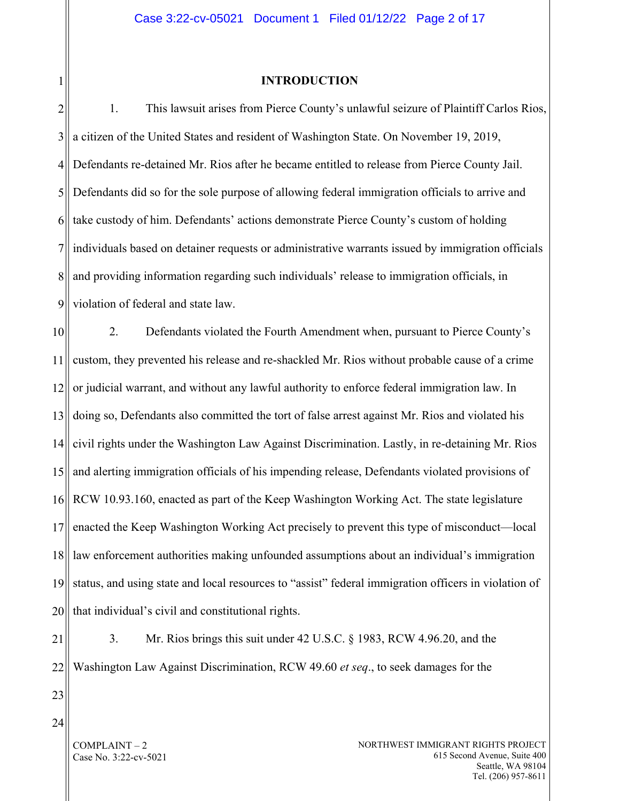# 1

#### **INTRODUCTION**

2 3 4 5 6 7 8 9 1. This lawsuit arises from Pierce County's unlawful seizure of Plaintiff Carlos Rios, a citizen of the United States and resident of Washington State. On November 19, 2019, Defendants re-detained Mr. Rios after he became entitled to release from Pierce County Jail. Defendants did so for the sole purpose of allowing federal immigration officials to arrive and take custody of him. Defendants' actions demonstrate Pierce County's custom of holding individuals based on detainer requests or administrative warrants issued by immigration officials and providing information regarding such individuals' release to immigration officials, in violation of federal and state law.

10 11 12 13 14 15 16 17 18 19 20 2. Defendants violated the Fourth Amendment when, pursuant to Pierce County's custom, they prevented his release and re-shackled Mr. Rios without probable cause of a crime or judicial warrant, and without any lawful authority to enforce federal immigration law. In doing so, Defendants also committed the tort of false arrest against Mr. Rios and violated his civil rights under the Washington Law Against Discrimination. Lastly, in re-detaining Mr. Rios and alerting immigration officials of his impending release, Defendants violated provisions of RCW 10.93.160, enacted as part of the Keep Washington Working Act. The state legislature enacted the Keep Washington Working Act precisely to prevent this type of misconduct—local law enforcement authorities making unfounded assumptions about an individual's immigration status, and using state and local resources to "assist" federal immigration officers in violation of that individual's civil and constitutional rights.

21

22

3. Mr. Rios brings this suit under 42 U.S.C. § 1983, RCW 4.96.20, and the Washington Law Against Discrimination, RCW 49.60 *et seq*., to seek damages for the

23

24

COMPLAINT – 2 Case No. 3:22-cv-5021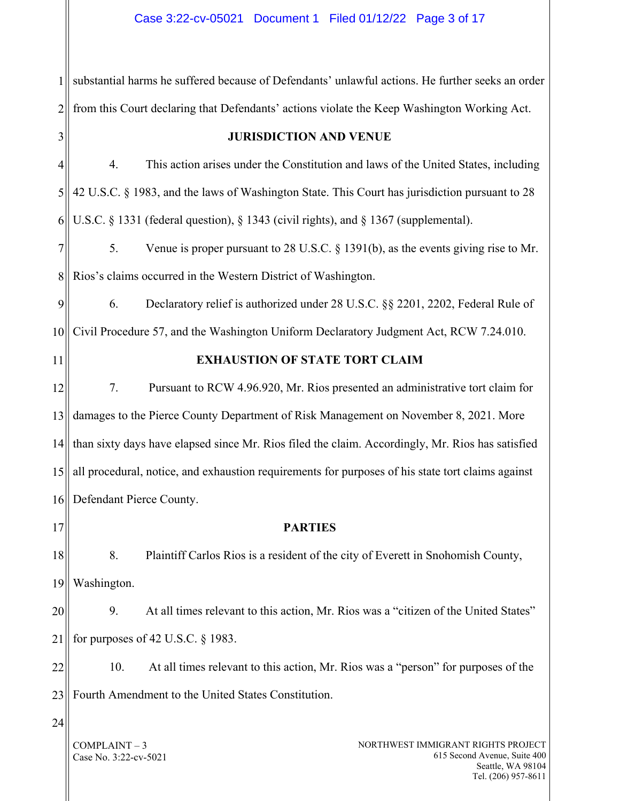COMPLAINT – 3 Case No. 3:22-cv-5021 NORTHWEST IMMIGRANT RIGHTS PROJECT 615 Second Avenue, Suite 400 Seattle, WA 98104 1 2 3 4 5 6 7 8 9 10 11 12 13 14 15 16 17 18 19 20 21 22  $23$ 24 substantial harms he suffered because of Defendants' unlawful actions. He further seeks an order from this Court declaring that Defendants' actions violate the Keep Washington Working Act. **JURISDICTION AND VENUE** 4. This action arises under the Constitution and laws of the United States, including 42 U.S.C. § 1983, and the laws of Washington State. This Court has jurisdiction pursuant to 28 U.S.C. § 1331 (federal question), § 1343 (civil rights), and § 1367 (supplemental). 5. Venue is proper pursuant to 28 U.S.C. § 1391(b), as the events giving rise to Mr. Rios's claims occurred in the Western District of Washington. 6. Declaratory relief is authorized under 28 U.S.C. §§ 2201, 2202, Federal Rule of Civil Procedure 57, and the Washington Uniform Declaratory Judgment Act, RCW 7.24.010. **EXHAUSTION OF STATE TORT CLAIM** 7. Pursuant to RCW 4.96.920, Mr. Rios presented an administrative tort claim for damages to the Pierce County Department of Risk Management on November 8, 2021. More than sixty days have elapsed since Mr. Rios filed the claim. Accordingly, Mr. Rios has satisfied all procedural, notice, and exhaustion requirements for purposes of his state tort claims against Defendant Pierce County. **PARTIES** 8. Plaintiff Carlos Rios is a resident of the city of Everett in Snohomish County, Washington. 9. At all times relevant to this action, Mr. Rios was a "citizen of the United States" for purposes of 42 U.S.C. § 1983. 10. At all times relevant to this action, Mr. Rios was a "person" for purposes of the Fourth Amendment to the United States Constitution.

Tel. (206) 957-8611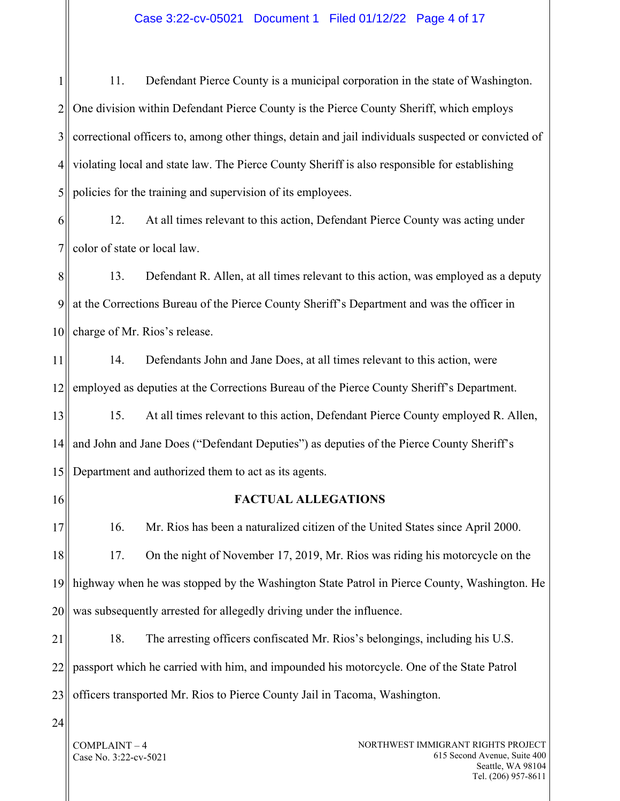# Case 3:22-cv-05021 Document 1 Filed 01/12/22 Page 4 of 17

1 2 3 4 5 11. Defendant Pierce County is a municipal corporation in the state of Washington. One division within Defendant Pierce County is the Pierce County Sheriff, which employs correctional officers to, among other things, detain and jail individuals suspected or convicted of violating local and state law. The Pierce County Sheriff is also responsible for establishing policies for the training and supervision of its employees.

6 7 12. At all times relevant to this action, Defendant Pierce County was acting under color of state or local law.

8 9 10 13. Defendant R. Allen, at all times relevant to this action, was employed as a deputy at the Corrections Bureau of the Pierce County Sheriff's Department and was the officer in charge of Mr. Rios's release.

11 12 14. Defendants John and Jane Does, at all times relevant to this action, were employed as deputies at the Corrections Bureau of the Pierce County Sheriff's Department.

13 14 15 15. At all times relevant to this action, Defendant Pierce County employed R. Allen, and John and Jane Does ("Defendant Deputies") as deputies of the Pierce County Sheriff's Department and authorized them to act as its agents.

16

#### **FACTUAL ALLEGATIONS**

17 18 19 20 16. Mr. Rios has been a naturalized citizen of the United States since April 2000. 17. On the night of November 17, 2019, Mr. Rios was riding his motorcycle on the highway when he was stopped by the Washington State Patrol in Pierce County, Washington. He was subsequently arrested for allegedly driving under the influence.

21 22 23 18. The arresting officers confiscated Mr. Rios's belongings, including his U.S. passport which he carried with him, and impounded his motorcycle. One of the State Patrol officers transported Mr. Rios to Pierce County Jail in Tacoma, Washington.

 $24$ 

COMPLAINT – 4 Case No. 3:22-cv-5021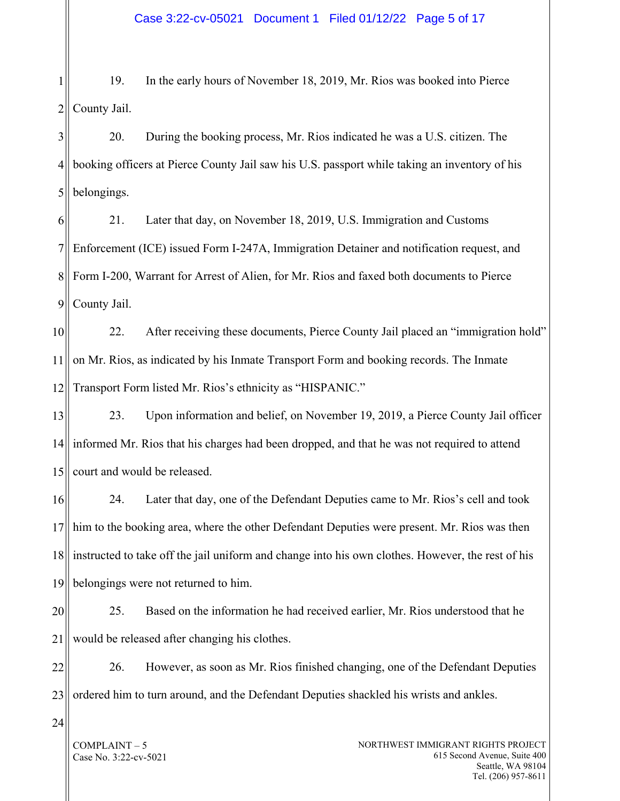1 2 19. In the early hours of November 18, 2019, Mr. Rios was booked into Pierce County Jail.

3 4 5 20. During the booking process, Mr. Rios indicated he was a U.S. citizen. The booking officers at Pierce County Jail saw his U.S. passport while taking an inventory of his belongings.

6 7 8 9 21. Later that day, on November 18, 2019, U.S. Immigration and Customs Enforcement (ICE) issued Form I-247A, Immigration Detainer and notification request, and Form I-200, Warrant for Arrest of Alien, for Mr. Rios and faxed both documents to Pierce County Jail.

10 11 12 22. After receiving these documents, Pierce County Jail placed an "immigration hold" on Mr. Rios, as indicated by his Inmate Transport Form and booking records. The Inmate Transport Form listed Mr. Rios's ethnicity as "HISPANIC."

13 14 15 23. Upon information and belief, on November 19, 2019, a Pierce County Jail officer informed Mr. Rios that his charges had been dropped, and that he was not required to attend court and would be released.

16 17 18 19 24. Later that day, one of the Defendant Deputies came to Mr. Rios's cell and took him to the booking area, where the other Defendant Deputies were present. Mr. Rios was then instructed to take off the jail uniform and change into his own clothes. However, the rest of his belongings were not returned to him.

20 21 25. Based on the information he had received earlier, Mr. Rios understood that he would be released after changing his clothes.

22 23 26. However, as soon as Mr. Rios finished changing, one of the Defendant Deputies ordered him to turn around, and the Defendant Deputies shackled his wrists and ankles.

24

COMPLAINT – 5 Case No. 3:22-cv-5021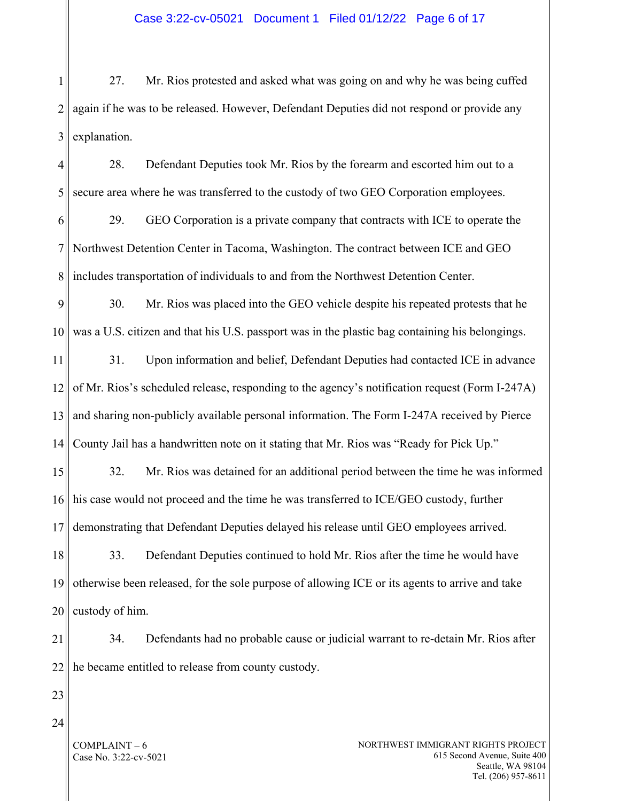1 2 3 27. Mr. Rios protested and asked what was going on and why he was being cuffed again if he was to be released. However, Defendant Deputies did not respond or provide any explanation.

4 5 6 7 8 9 10 11 12 13 14 15 16 17 18 19 20 21 28. Defendant Deputies took Mr. Rios by the forearm and escorted him out to a secure area where he was transferred to the custody of two GEO Corporation employees. 29. GEO Corporation is a private company that contracts with ICE to operate the Northwest Detention Center in Tacoma, Washington. The contract between ICE and GEO includes transportation of individuals to and from the Northwest Detention Center. 30. Mr. Rios was placed into the GEO vehicle despite his repeated protests that he was a U.S. citizen and that his U.S. passport was in the plastic bag containing his belongings. 31. Upon information and belief, Defendant Deputies had contacted ICE in advance of Mr. Rios's scheduled release, responding to the agency's notification request (Form I-247A) and sharing non-publicly available personal information. The Form I-247A received by Pierce County Jail has a handwritten note on it stating that Mr. Rios was "Ready for Pick Up." 32. Mr. Rios was detained for an additional period between the time he was informed his case would not proceed and the time he was transferred to ICE/GEO custody, further demonstrating that Defendant Deputies delayed his release until GEO employees arrived. 33. Defendant Deputies continued to hold Mr. Rios after the time he would have otherwise been released, for the sole purpose of allowing ICE or its agents to arrive and take custody of him. 34. Defendants had no probable cause or judicial warrant to re-detain Mr. Rios after

22

23 24

> COMPLAINT – 6 Case No. 3:22-cv-5021

he became entitled to release from county custody.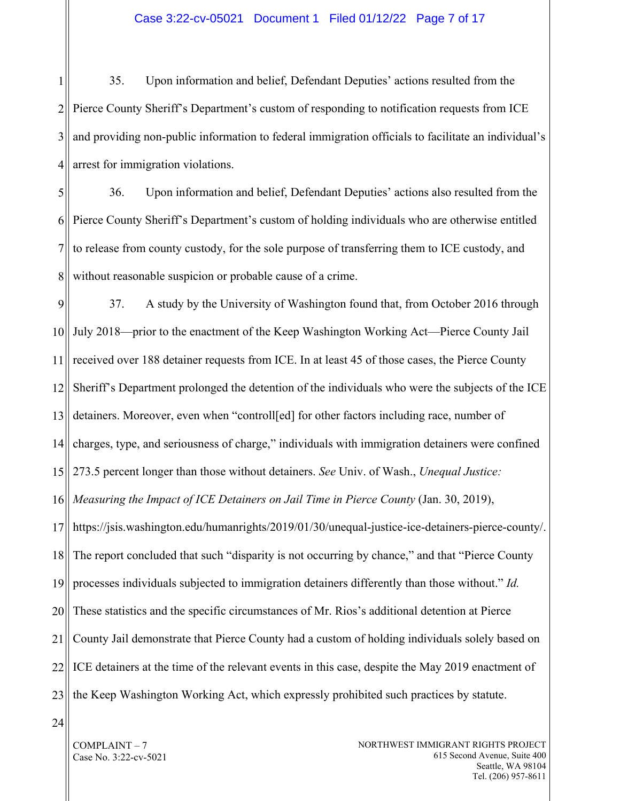#### Case 3:22-cv-05021 Document 1 Filed 01/12/22 Page 7 of 17

1 2 3 4 35. Upon information and belief, Defendant Deputies' actions resulted from the Pierce County Sheriff's Department's custom of responding to notification requests from ICE and providing non-public information to federal immigration officials to facilitate an individual's arrest for immigration violations.

5 6 7 8 36. Upon information and belief, Defendant Deputies' actions also resulted from the Pierce County Sheriff's Department's custom of holding individuals who are otherwise entitled to release from county custody, for the sole purpose of transferring them to ICE custody, and without reasonable suspicion or probable cause of a crime.

9 10 11 12 13 14 15 16 17 18 19 20 21 22 23 37. A study by the University of Washington found that, from October 2016 through July 2018—prior to the enactment of the Keep Washington Working Act—Pierce County Jail received over 188 detainer requests from ICE. In at least 45 of those cases, the Pierce County Sheriff's Department prolonged the detention of the individuals who were the subjects of the ICE detainers. Moreover, even when "controll[ed] for other factors including race, number of charges, type, and seriousness of charge," individuals with immigration detainers were confined 273.5 percent longer than those without detainers. *See* Univ. of Wash., *Unequal Justice: Measuring the Impact of ICE Detainers on Jail Time in Pierce County* (Jan. 30, 2019), https://jsis.washington.edu/humanrights/2019/01/30/unequal-justice-ice-detainers-pierce-county/. The report concluded that such "disparity is not occurring by chance," and that "Pierce County processes individuals subjected to immigration detainers differently than those without." *Id.* These statistics and the specific circumstances of Mr. Rios's additional detention at Pierce County Jail demonstrate that Pierce County had a custom of holding individuals solely based on ICE detainers at the time of the relevant events in this case, despite the May 2019 enactment of the Keep Washington Working Act, which expressly prohibited such practices by statute.

24

COMPLAINT – 7 Case No. 3:22-cv-5021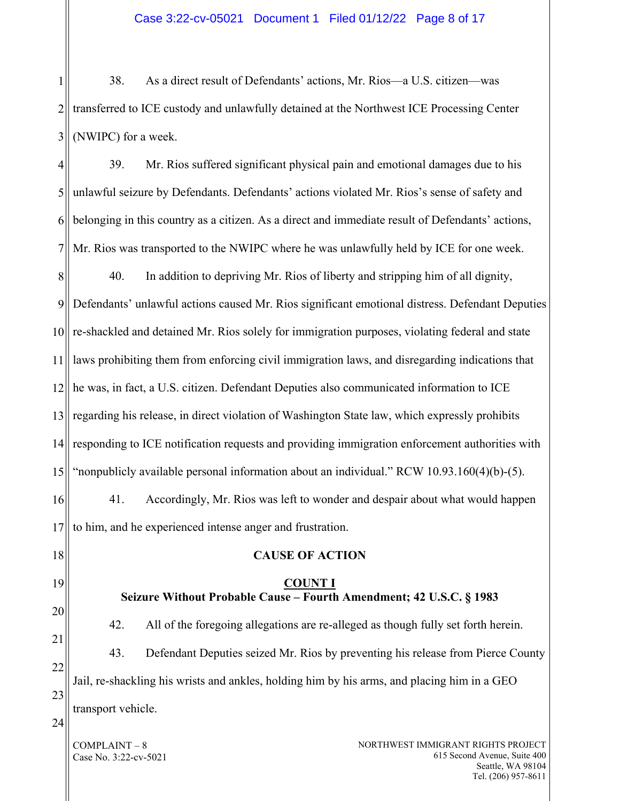1 2 3 38. As a direct result of Defendants' actions, Mr. Rios—a U.S. citizen—was transferred to ICE custody and unlawfully detained at the Northwest ICE Processing Center (NWIPC) for a week.

4 5 6 7 39. Mr. Rios suffered significant physical pain and emotional damages due to his unlawful seizure by Defendants. Defendants' actions violated Mr. Rios's sense of safety and belonging in this country as a citizen. As a direct and immediate result of Defendants' actions, Mr. Rios was transported to the NWIPC where he was unlawfully held by ICE for one week.

8 9 10 11 12 13 14 15 40. In addition to depriving Mr. Rios of liberty and stripping him of all dignity, Defendants' unlawful actions caused Mr. Rios significant emotional distress. Defendant Deputies re-shackled and detained Mr. Rios solely for immigration purposes, violating federal and state laws prohibiting them from enforcing civil immigration laws, and disregarding indications that he was, in fact, a U.S. citizen. Defendant Deputies also communicated information to ICE regarding his release, in direct violation of Washington State law, which expressly prohibits responding to ICE notification requests and providing immigration enforcement authorities with "nonpublicly available personal information about an individual." RCW 10.93.160(4)(b)-(5).

16 17 41. Accordingly, Mr. Rios was left to wonder and despair about what would happen to him, and he experienced intense anger and frustration.

18

19

20

21

22

23

42. All of the foregoing allegations are re-alleged as though fully set forth herein. 43. Defendant Deputies seized Mr. Rios by preventing his release from Pierce County Jail, re-shackling his wrists and ankles, holding him by his arms, and placing him in a GEO transport vehicle.

**CAUSE OF ACTION**

**COUNT I Seizure Without Probable Cause – Fourth Amendment; 42 U.S.C. § 1983**

24

COMPLAINT – 8 Case No. 3:22-cv-5021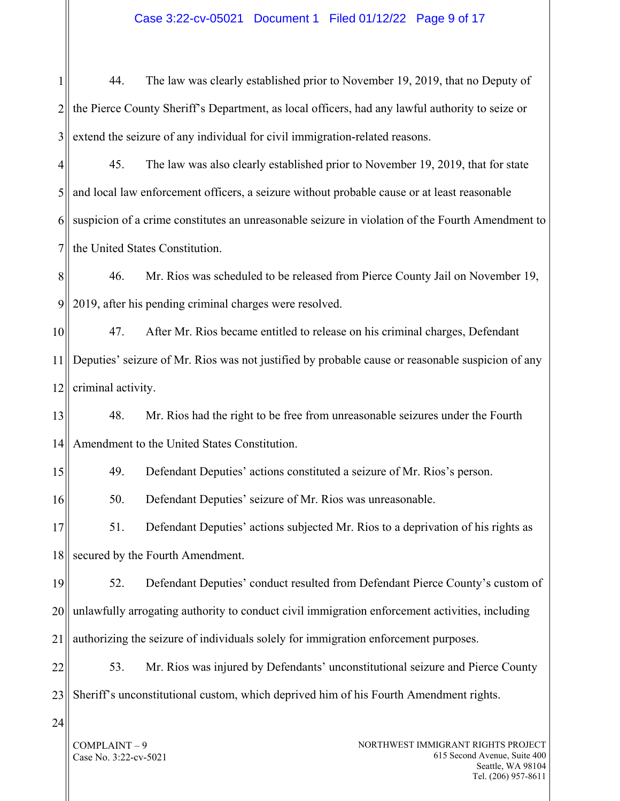# Case 3:22-cv-05021 Document 1 Filed 01/12/22 Page 9 of 17

1 2 3 44. The law was clearly established prior to November 19, 2019, that no Deputy of the Pierce County Sheriff's Department, as local officers, had any lawful authority to seize or extend the seizure of any individual for civil immigration-related reasons.

4 5 6 7 45. The law was also clearly established prior to November 19, 2019, that for state and local law enforcement officers, a seizure without probable cause or at least reasonable suspicion of a crime constitutes an unreasonable seizure in violation of the Fourth Amendment to the United States Constitution.

8 9 46. Mr. Rios was scheduled to be released from Pierce County Jail on November 19, 2019, after his pending criminal charges were resolved.

10 11 12 47. After Mr. Rios became entitled to release on his criminal charges, Defendant Deputies' seizure of Mr. Rios was not justified by probable cause or reasonable suspicion of any criminal activity.

13 14 48. Mr. Rios had the right to be free from unreasonable seizures under the Fourth Amendment to the United States Constitution.

15 49. Defendant Deputies' actions constituted a seizure of Mr. Rios's person.

16 50. Defendant Deputies' seizure of Mr. Rios was unreasonable.

17 18 51. Defendant Deputies' actions subjected Mr. Rios to a deprivation of his rights as secured by the Fourth Amendment.

19 20 21 52. Defendant Deputies' conduct resulted from Defendant Pierce County's custom of unlawfully arrogating authority to conduct civil immigration enforcement activities, including authorizing the seizure of individuals solely for immigration enforcement purposes.

22 23 53. Mr. Rios was injured by Defendants' unconstitutional seizure and Pierce County Sheriff's unconstitutional custom, which deprived him of his Fourth Amendment rights.

 $24$ 

COMPLAINT – 9 Case No. 3:22-cv-5021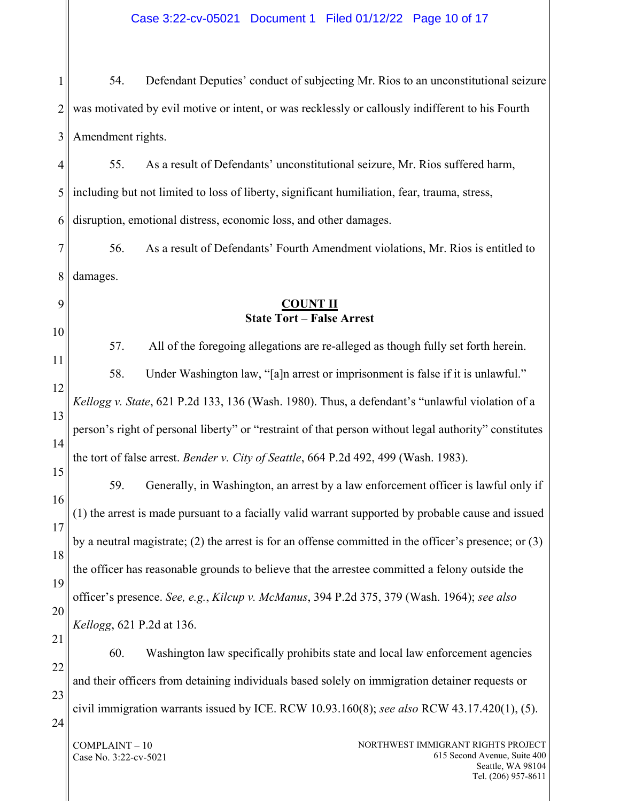COMPLAINT – 10 Case No. 3:22-cv-5021 NORTHWEST IMMIGRANT RIGHTS PROJECT 615 Second Avenue, Suite 400 Seattle, WA 98104 1 2 3 4 5 6 7 8 9 10 11 12 13 14 15 16 17 18 19 20 21 22 23 24 54. Defendant Deputies' conduct of subjecting Mr. Rios to an unconstitutional seizure was motivated by evil motive or intent, or was recklessly or callously indifferent to his Fourth Amendment rights. 55. As a result of Defendants' unconstitutional seizure, Mr. Rios suffered harm, including but not limited to loss of liberty, significant humiliation, fear, trauma, stress, disruption, emotional distress, economic loss, and other damages. 56. As a result of Defendants' Fourth Amendment violations, Mr. Rios is entitled to damages. **COUNT II State Tort – False Arrest** 57. All of the foregoing allegations are re-alleged as though fully set forth herein. 58. Under Washington law, "[a]n arrest or imprisonment is false if it is unlawful." *Kellogg v. State*, 621 P.2d 133, 136 (Wash. 1980). Thus, a defendant's "unlawful violation of a person's right of personal liberty" or "restraint of that person without legal authority" constitutes the tort of false arrest. *Bender v. City of Seattle*, 664 P.2d 492, 499 (Wash. 1983). 59. Generally, in Washington, an arrest by a law enforcement officer is lawful only if (1) the arrest is made pursuant to a facially valid warrant supported by probable cause and issued by a neutral magistrate; (2) the arrest is for an offense committed in the officer's presence; or (3) the officer has reasonable grounds to believe that the arrestee committed a felony outside the officer's presence. *See, e.g.*, *Kilcup v. McManus*, 394 P.2d 375, 379 (Wash. 1964); *see also Kellogg*, 621 P.2d at 136. 60. Washington law specifically prohibits state and local law enforcement agencies and their officers from detaining individuals based solely on immigration detainer requests or civil immigration warrants issued by ICE. RCW 10.93.160(8); *see also* RCW 43.17.420(1), (5).

Case 3:22-cv-05021 Document 1 Filed 01/12/22 Page 10 of 17

Tel. (206) 957-8611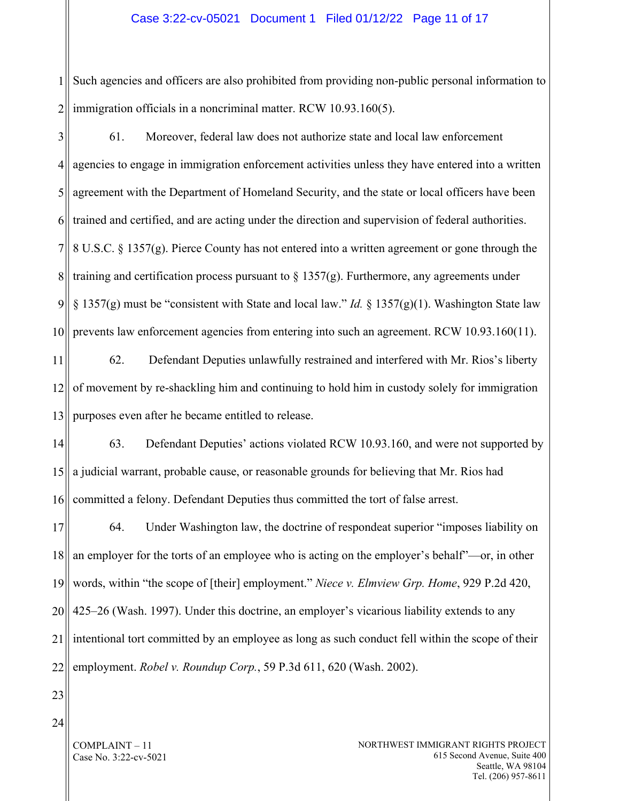#### Case 3:22-cv-05021 Document 1 Filed 01/12/22 Page 11 of 17

1 2 Such agencies and officers are also prohibited from providing non-public personal information to immigration officials in a noncriminal matter. RCW 10.93.160(5).

3

4 5 6 7 8 9 10 61. Moreover, federal law does not authorize state and local law enforcement agencies to engage in immigration enforcement activities unless they have entered into a written agreement with the Department of Homeland Security, and the state or local officers have been trained and certified, and are acting under the direction and supervision of federal authorities. 8 U.S.C. § 1357(g). Pierce County has not entered into a written agreement or gone through the training and certification process pursuant to  $\S 1357(g)$ . Furthermore, any agreements under § 1357(g) must be "consistent with State and local law." *Id.* § 1357(g)(1). Washington State law prevents law enforcement agencies from entering into such an agreement. RCW 10.93.160(11).

11 12 13 62. Defendant Deputies unlawfully restrained and interfered with Mr. Rios's liberty of movement by re-shackling him and continuing to hold him in custody solely for immigration purposes even after he became entitled to release.

14 15 16 63. Defendant Deputies' actions violated RCW 10.93.160, and were not supported by a judicial warrant, probable cause, or reasonable grounds for believing that Mr. Rios had committed a felony. Defendant Deputies thus committed the tort of false arrest.

17 18 19 20 21 22 64. Under Washington law, the doctrine of respondeat superior "imposes liability on an employer for the torts of an employee who is acting on the employer's behalf"—or, in other words, within "the scope of [their] employment." *Niece v. Elmview Grp. Home*, 929 P.2d 420, 425–26 (Wash. 1997). Under this doctrine, an employer's vicarious liability extends to any intentional tort committed by an employee as long as such conduct fell within the scope of their employment. *Robel v. Roundup Corp.*, 59 P.3d 611, 620 (Wash. 2002).

- 23
- 24

COMPLAINT – 11 Case No. 3:22-cv-5021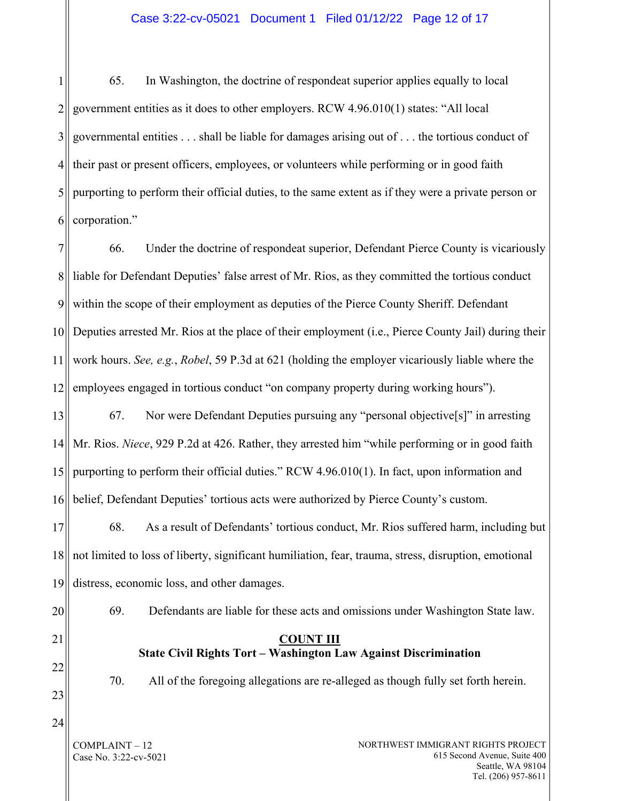#### Case 3:22-cv-05021 Document 1 Filed 01/12/22 Page 12 of 17

1 2 3 4 5 6 65. In Washington, the doctrine of respondeat superior applies equally to local government entities as it does to other employers. RCW 4.96.010(1) states: "All local governmental entities . . . shall be liable for damages arising out of . . . the tortious conduct of their past or present officers, employees, or volunteers while performing or in good faith purporting to perform their official duties, to the same extent as if they were a private person or corporation."

7 8 9 10 11 12 66. Under the doctrine of respondeat superior, Defendant Pierce County is vicariously liable for Defendant Deputies' false arrest of Mr. Rios, as they committed the tortious conduct within the scope of their employment as deputies of the Pierce County Sheriff. Defendant Deputies arrested Mr. Rios at the place of their employment (i.e., Pierce County Jail) during their work hours. *See, e.g.*, *Robel*, 59 P.3d at 621 (holding the employer vicariously liable where the employees engaged in tortious conduct "on company property during working hours").

13 14 15 16 67. Nor were Defendant Deputies pursuing any "personal objective[s]" in arresting Mr. Rios. *Niece*, 929 P.2d at 426. Rather, they arrested him "while performing or in good faith purporting to perform their official duties." RCW 4.96.010(1). In fact, upon information and belief, Defendant Deputies' tortious acts were authorized by Pierce County's custom.

17 18 19 68. As a result of Defendants' tortious conduct, Mr. Rios suffered harm, including but not limited to loss of liberty, significant humiliation, fear, trauma, stress, disruption, emotional distress, economic loss, and other damages.

20

21

69. Defendants are liable for these acts and omissions under Washington State law.

#### **COUNT III State Civil Rights Tort – Washington Law Against Discrimination**

22 23

24

70. All of the foregoing allegations are re-alleged as though fully set forth herein.

COMPLAINT – 12 Case No. 3:22-cv-5021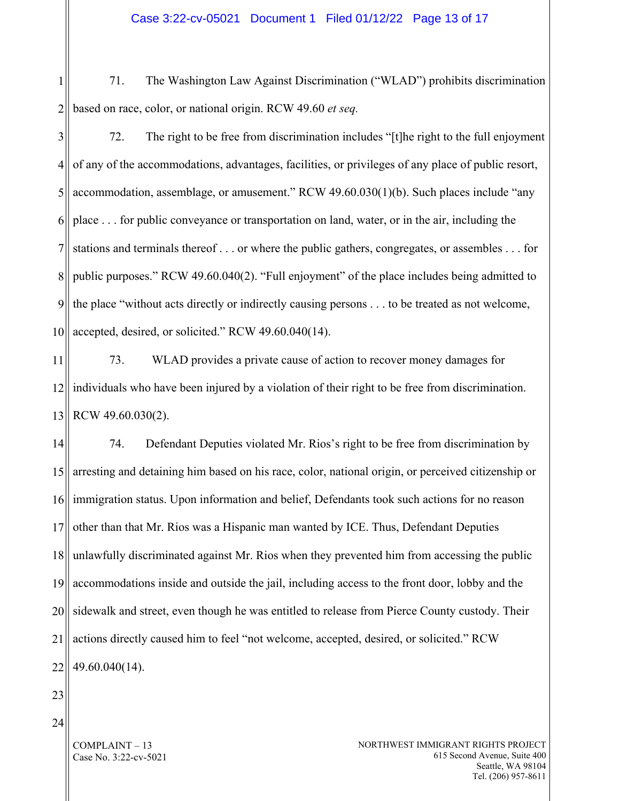1 2 71. The Washington Law Against Discrimination ("WLAD") prohibits discrimination based on race, color, or national origin. RCW 49.60 *et seq.*

3 4 5 6 7 8 9 10 72. The right to be free from discrimination includes "[t]he right to the full enjoyment of any of the accommodations, advantages, facilities, or privileges of any place of public resort, accommodation, assemblage, or amusement." RCW 49.60.030(1)(b). Such places include "any place . . . for public conveyance or transportation on land, water, or in the air, including the stations and terminals thereof . . . or where the public gathers, congregates, or assembles . . . for public purposes." RCW 49.60.040(2). "Full enjoyment" of the place includes being admitted to the place "without acts directly or indirectly causing persons . . . to be treated as not welcome, accepted, desired, or solicited." RCW 49.60.040(14).

11 12 13 73. WLAD provides a private cause of action to recover money damages for individuals who have been injured by a violation of their right to be free from discrimination. RCW 49.60.030(2).

14 15 16 17 18 19 20 21 22 74. Defendant Deputies violated Mr. Rios's right to be free from discrimination by arresting and detaining him based on his race, color, national origin, or perceived citizenship or immigration status. Upon information and belief, Defendants took such actions for no reason other than that Mr. Rios was a Hispanic man wanted by ICE. Thus, Defendant Deputies unlawfully discriminated against Mr. Rios when they prevented him from accessing the public accommodations inside and outside the jail, including access to the front door, lobby and the sidewalk and street, even though he was entitled to release from Pierce County custody. Their actions directly caused him to feel "not welcome, accepted, desired, or solicited." RCW 49.60.040(14).

- 23
- 24

COMPLAINT – 13 Case No. 3:22-cv-5021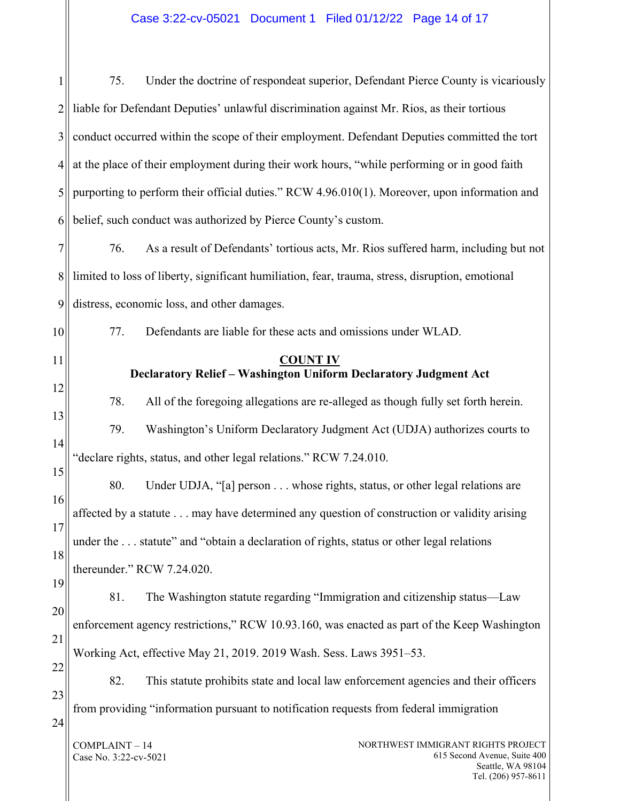# Case 3:22-cv-05021 Document 1 Filed 01/12/22 Page 14 of 17

| $\mathbf{1}$   | Under the doctrine of respondeat superior, Defendant Pierce County is vicariously<br>75.         |  |
|----------------|--------------------------------------------------------------------------------------------------|--|
| $\overline{2}$ | liable for Defendant Deputies' unlawful discrimination against Mr. Rios, as their tortious       |  |
| 3              | conduct occurred within the scope of their employment. Defendant Deputies committed the tort     |  |
| $\overline{4}$ | at the place of their employment during their work hours, "while performing or in good faith     |  |
| 5              | purporting to perform their official duties." RCW 4.96.010(1). Moreover, upon information and    |  |
| 6              | belief, such conduct was authorized by Pierce County's custom.                                   |  |
| $\tau$         | As a result of Defendants' tortious acts, Mr. Rios suffered harm, including but not<br>76.       |  |
| 8              | limited to loss of liberty, significant humiliation, fear, trauma, stress, disruption, emotional |  |
| 9              | distress, economic loss, and other damages.                                                      |  |
| 10             | Defendants are liable for these acts and omissions under WLAD.<br>77.                            |  |
| 11             | <b>COUNT IV</b><br>Declaratory Relief - Washington Uniform Declaratory Judgment Act              |  |
| 12             |                                                                                                  |  |
| 13             | 78.<br>All of the foregoing allegations are re-alleged as though fully set forth herein.         |  |
| 14             | 79.<br>Washington's Uniform Declaratory Judgment Act (UDJA) authorizes courts to                 |  |
| 15             | "declare rights, status, and other legal relations." RCW 7.24.010.                               |  |
| 16             | 80.<br>Under UDJA, "[a] person whose rights, status, or other legal relations are                |  |
| 17             | affected by a statute may have determined any question of construction or validity arising       |  |

18 under the ... statute" and "obtain a declaration of rights, status or other legal relations

thereunder." RCW 7.24.020.

19 20 21 22 81. The Washington statute regarding "Immigration and citizenship status—Law enforcement agency restrictions," RCW 10.93.160, was enacted as part of the Keep Washington Working Act, effective May 21, 2019. 2019 Wash. Sess. Laws 3951–53.

23 24 82. This statute prohibits state and local law enforcement agencies and their officers from providing "information pursuant to notification requests from federal immigration

COMPLAINT – 14 Case No. 3:22-cv-5021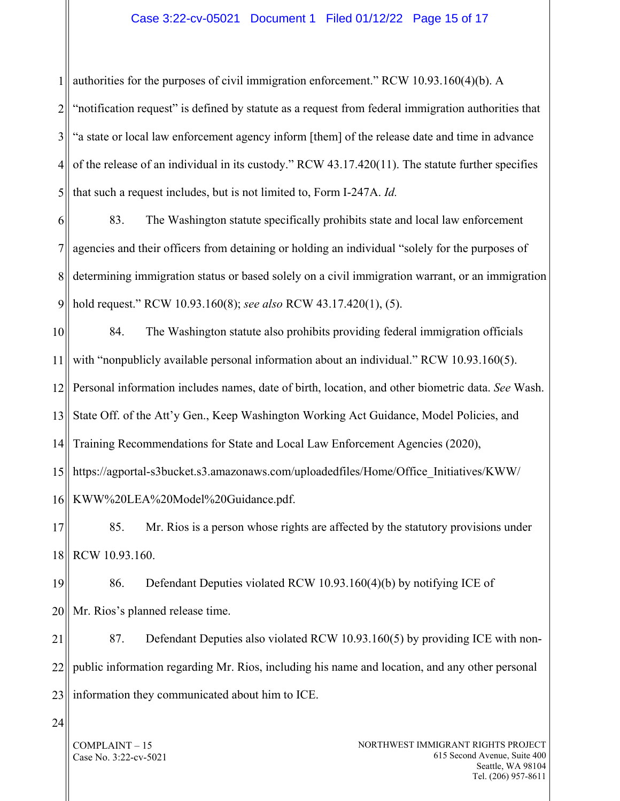# Case 3:22-cv-05021 Document 1 Filed 01/12/22 Page 15 of 17

1 authorities for the purposes of civil immigration enforcement." RCW 10.93.160(4)(b). A

2 3 4 5 "notification request" is defined by statute as a request from federal immigration authorities that "a state or local law enforcement agency inform [them] of the release date and time in advance of the release of an individual in its custody." RCW 43.17.420(11). The statute further specifies that such a request includes, but is not limited to, Form I-247A. *Id.* 

6 7 8 9 83. The Washington statute specifically prohibits state and local law enforcement agencies and their officers from detaining or holding an individual "solely for the purposes of determining immigration status or based solely on a civil immigration warrant, or an immigration hold request." RCW 10.93.160(8); *see also* RCW 43.17.420(1), (5).

10 11 12 13 14 15 16 84. The Washington statute also prohibits providing federal immigration officials with "nonpublicly available personal information about an individual." RCW 10.93.160(5). Personal information includes names, date of birth, location, and other biometric data. *See* Wash. State Off. of the Att'y Gen., Keep Washington Working Act Guidance, Model Policies, and Training Recommendations for State and Local Law Enforcement Agencies (2020), https://agportal-s3bucket.s3.amazonaws.com/uploadedfiles/Home/Office\_Initiatives/KWW/ KWW%20LEA%20Model%20Guidance.pdf.

17 18 85. Mr. Rios is a person whose rights are affected by the statutory provisions under RCW 10.93.160.

19 20 86. Defendant Deputies violated RCW 10.93.160(4)(b) by notifying ICE of Mr. Rios's planned release time.

21 22 23 87. Defendant Deputies also violated RCW 10.93.160(5) by providing ICE with nonpublic information regarding Mr. Rios, including his name and location, and any other personal information they communicated about him to ICE.

24

COMPLAINT – 15 Case No. 3:22-cv-5021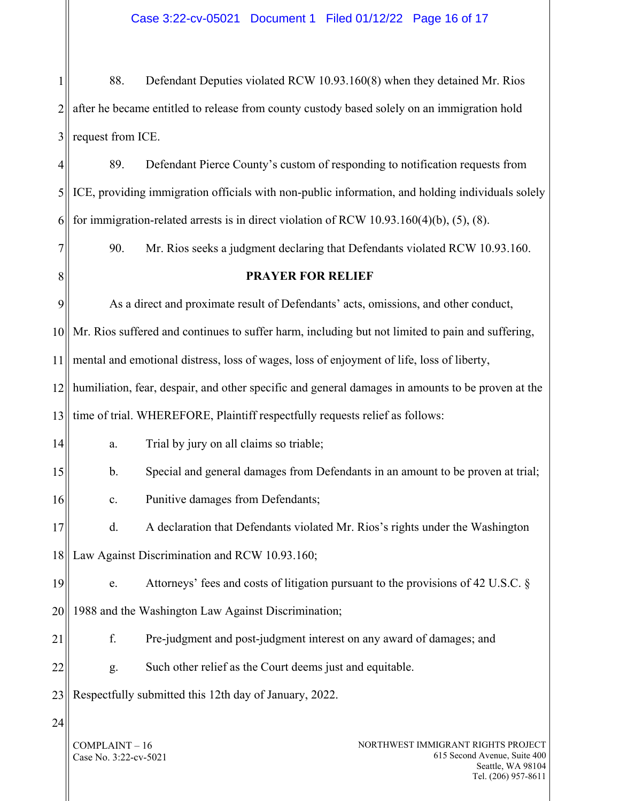1 2 3 88. Defendant Deputies violated RCW 10.93.160(8) when they detained Mr. Rios after he became entitled to release from county custody based solely on an immigration hold request from ICE.

4 5 6 89. Defendant Pierce County's custom of responding to notification requests from ICE, providing immigration officials with non-public information, and holding individuals solely for immigration-related arrests is in direct violation of RCW 10.93.160(4)(b), (5), (8).

90. Mr. Rios seeks a judgment declaring that Defendants violated RCW 10.93.160.

**PRAYER FOR RELIEF**

As a direct and proximate result of Defendants' acts, omissions, and other conduct,

10 Mr. Rios suffered and continues to suffer harm, including but not limited to pain and suffering,

11 mental and emotional distress, loss of wages, loss of enjoyment of life, loss of liberty,

12 13 humiliation, fear, despair, and other specific and general damages in amounts to be proven at the time of trial. WHEREFORE, Plaintiff respectfully requests relief as follows:

14 a. Trial by jury on all claims so triable;

- 15 b. Special and general damages from Defendants in an amount to be proven at trial;
	- c. Punitive damages from Defendants;

17 18 d. A declaration that Defendants violated Mr. Rios's rights under the Washington Law Against Discrimination and RCW 10.93.160;

19 20 e. Attorneys' fees and costs of litigation pursuant to the provisions of 42 U.S.C. § 1988 and the Washington Law Against Discrimination;

- 21 f. Pre-judgment and post-judgment interest on any award of damages; and
- 

22 g. Such other relief as the Court deems just and equitable.

23 Respectfully submitted this 12th day of January, 2022.

24

7

8

9

16

COMPLAINT – 16 Case No. 3:22-cv-5021